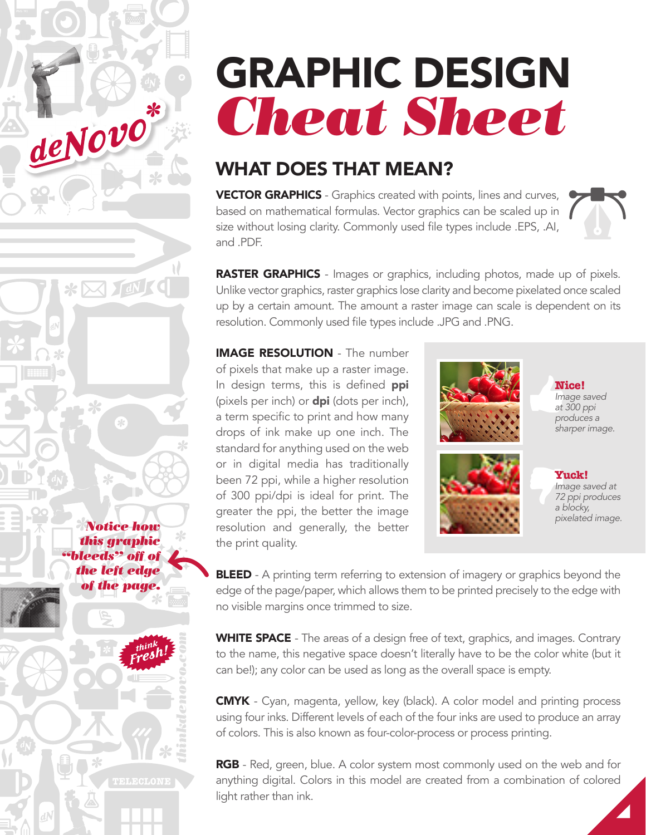# GRAPHIC DESIGN *Cheat Sheet*

# WHAT DOES THAT MEAN?

**VECTOR GRAPHICS** - Graphics created with points, lines and curves, based on mathematical formulas. Vector graphics can be scaled up in size without losing clarity. Commonly used file types include .EPS, .AI, and .PDF.



RASTER GRAPHICS - Images or graphics, including photos, made up of pixels. Unlike vector graphics, raster graphics lose clarity and become pixelated once scaled up by a certain amount. The amount a raster image can scale is dependent on its resolution. Commonly used file types include .JPG and .PNG.

IMAGE RESOLUTION - The number of pixels that make up a raster image. In design terms, this is defined ppi (pixels per inch) or  $dpi$  (dots per inch), a term specific to print and how many drops of ink make up one inch. The standard for anything used on the web or in digital media has traditionally been 72 ppi, while a higher resolution of 300 ppi/dpi is ideal for print. The greater the ppi, the better the image resolution and generally, the better the print quality.

*thinkdenovo.com*

TELECLONI

*Notice how this graphic "bleeds" off of the left edge of the page.*

deNovo\*

\* X III (







**Yuck!** *Image saved at 72 ppi produces a blocky, pixelated image.*

**BLEED** - A printing term referring to extension of imagery or graphics beyond the edge of the page/paper, which allows them to be printed precisely to the edge with no visible margins once trimmed to size.

WHITE SPACE - The areas of a design free of text, graphics, and images. Contrary to the name, this negative space doesn't literally have to be the color white (but it can be!); any color can be used as long as the overall space is empty.

CMYK - Cyan, magenta, yellow, key (black). A color model and printing process using four inks. Different levels of each of the four inks are used to produce an array of colors. This is also known as four-color-process or process printing.

RGB - Red, green, blue. A color system most commonly used on the web and for anything digital. Colors in this model are created from a combination of colored light rather than ink.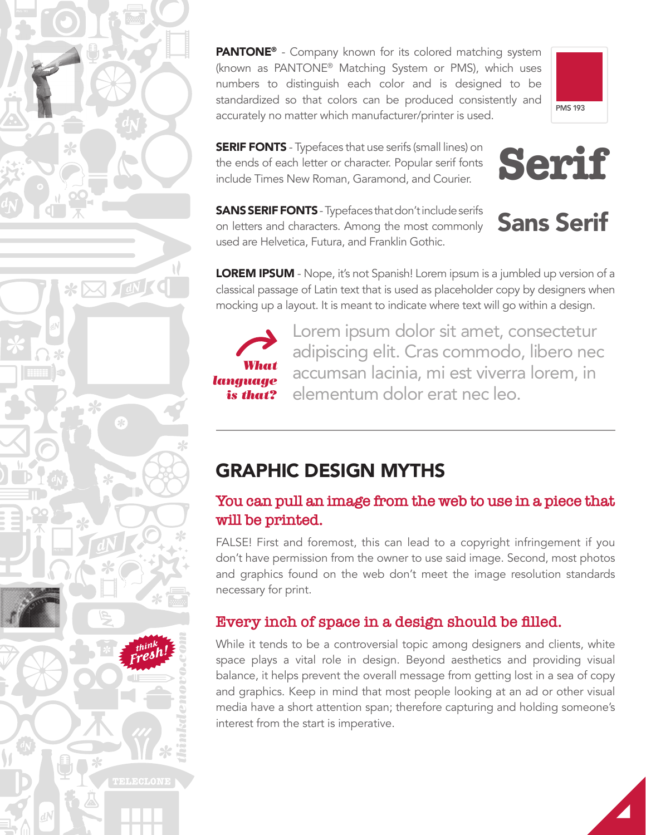PANTONE® - Company known for its colored matching system (known as PANTONE® Matching System or PMS), which uses numbers to distinguish each color and is designed to be standardized so that colors can be produced consistently and accurately no matter which manufacturer/printer is used.



**SERIF FONTS** - Typefaces that use serifs (small lines) on the ends of each letter or character. Popular serif fonts include Times New Roman, Garamond, and Courier.



**Serif**

**SANS SERIF FONTS** - Typefaces that don't include serifs on letters and characters. Among the most commonly used are Helvetica, Futura, and Franklin Gothic.

LOREM IPSUM - Nope, it's not Spanish! Lorem ipsum is a jumbled up version of a classical passage of Latin text that is used as placeholder copy by designers when mocking up a layout. It is meant to indicate where text will go within a design.



*thinkdenovo.com*

TELECLONE

 $* \boxtimes \text{IN}$ 

Lorem ipsum dolor sit amet, consectetur adipiscing elit. Cras commodo, libero nec accumsan lacinia, mi est viverra lorem, in elementum dolor erat nec leo.

# GRAPHIC DESIGN MYTHS

#### **You can pull an image from the web to use in a piece that will be printed.**

FALSE! First and foremost, this can lead to a copyright infringement if you don't have permission from the owner to use said image. Second, most photos and graphics found on the web don't meet the image resolution standards necessary for print.

## **Every inch of space in a design should be filled.**

While it tends to be a controversial topic among designers and clients, white space plays a vital role in design. Beyond aesthetics and providing visual balance, it helps prevent the overall message from getting lost in a sea of copy and graphics. Keep in mind that most people looking at an ad or other visual media have a short attention span; therefore capturing and holding someone's interest from the start is imperative.